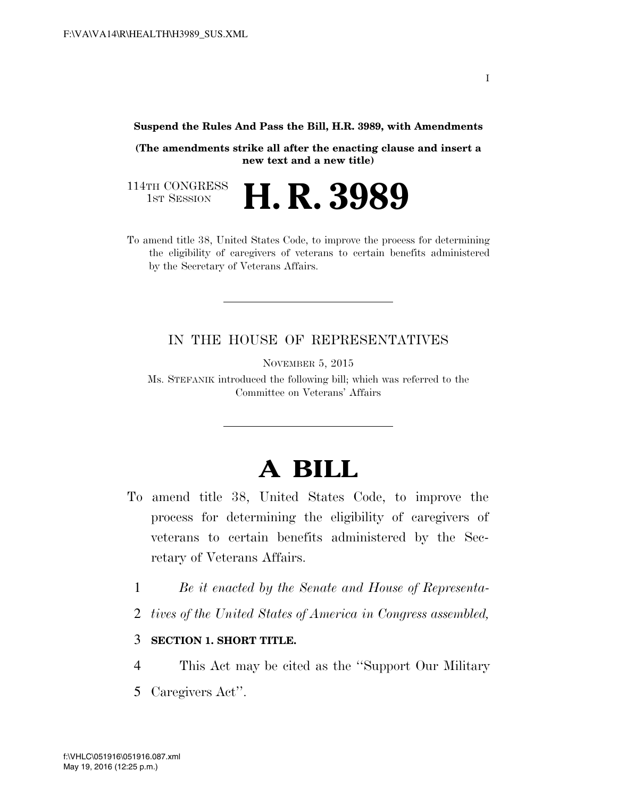**Suspend the Rules And Pass the Bill, H.R. 3989, with Amendments** 

**(The amendments strike all after the enacting clause and insert a new text and a new title)** 

H. R. 3989

114TH CONGRESS<br>1st Session

To amend title 38, United States Code, to improve the process for determining the eligibility of caregivers of veterans to certain benefits administered by the Secretary of Veterans Affairs.

## IN THE HOUSE OF REPRESENTATIVES

NOVEMBER 5, 2015

Ms. STEFANIK introduced the following bill; which was referred to the Committee on Veterans' Affairs

## **A BILL**

- To amend title 38, United States Code, to improve the process for determining the eligibility of caregivers of veterans to certain benefits administered by the Secretary of Veterans Affairs.
	- 1 *Be it enacted by the Senate and House of Representa-*
	- 2 *tives of the United States of America in Congress assembled,*

## 3 **SECTION 1. SHORT TITLE.**

- 4 This Act may be cited as the ''Support Our Military
- 5 Caregivers Act''.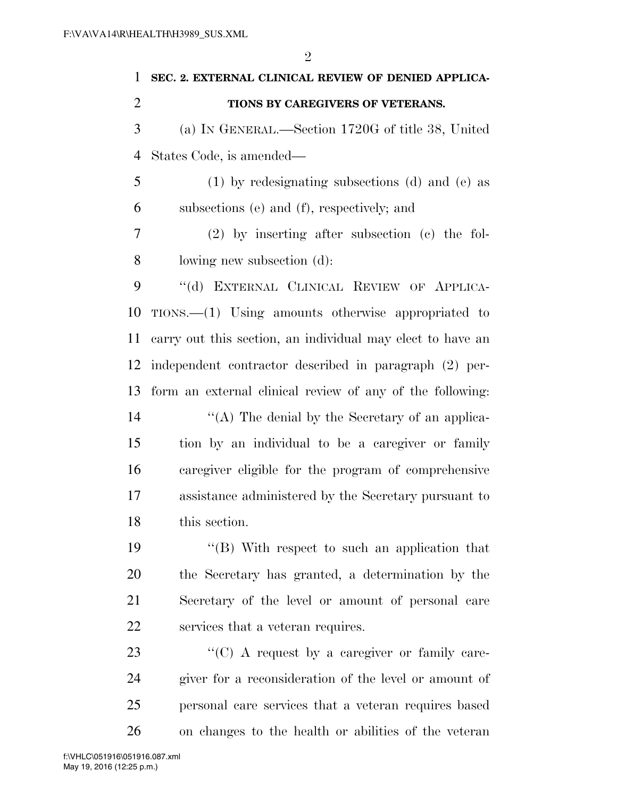| $\mathbf{1}$   | SEC. 2. EXTERNAL CLINICAL REVIEW OF DENIED APPLICA-        |
|----------------|------------------------------------------------------------|
| $\overline{2}$ | TIONS BY CAREGIVERS OF VETERANS.                           |
| 3              | (a) IN GENERAL.—Section 1720G of title 38, United          |
| $\overline{4}$ | States Code, is amended—                                   |
| 5              | $(1)$ by redesignating subsections (d) and (e) as          |
| 6              | subsections (e) and (f), respectively; and                 |
| 7              | $(2)$ by inserting after subsection $(e)$ the fol-         |
| 8              | lowing new subsection (d):                                 |
| 9              | "(d) EXTERNAL CLINICAL REVIEW OF APPLICA-                  |
| 10             | $TIONS.$ (1) Using amounts otherwise appropriated to       |
| 11             | carry out this section, an individual may elect to have an |
| 12             | independent contractor described in paragraph (2) per-     |
| 13             | form an external clinical review of any of the following:  |
| 14             | "(A) The denial by the Secretary of an applica-            |
| 15             | tion by an individual to be a caregiver or family          |
| 16             | caregiver eligible for the program of comprehensive        |
| 17             | assistance administered by the Secretary pursuant to       |
| 18             | this section.                                              |
| 19             | "(B) With respect to such an application that              |
| 20             | the Secretary has granted, a determination by the          |

as grameu, Secretary of the level or amount of personal care services that a veteran requires.

 $\langle ^{\prime}(C) \rangle$  A request by a caregiver or family care- giver for a reconsideration of the level or amount of personal care services that a veteran requires based on changes to the health or abilities of the veteran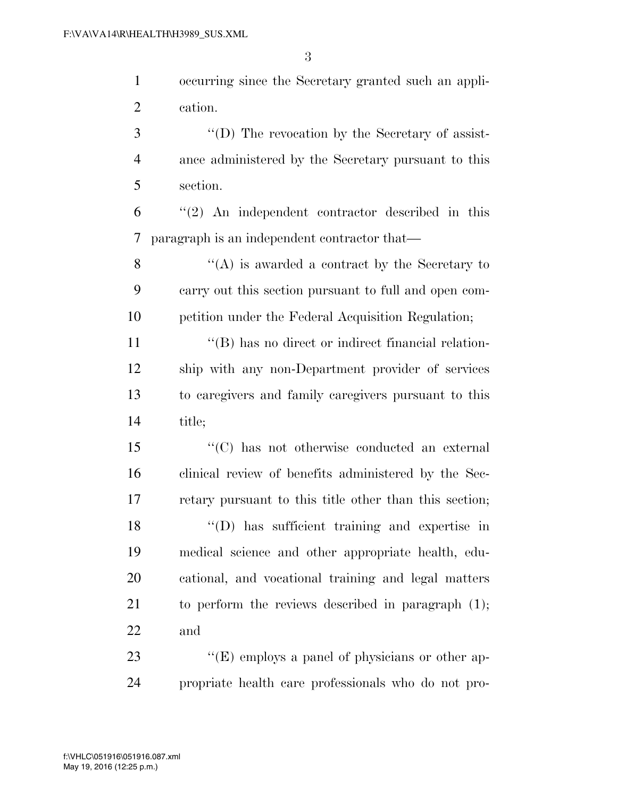occurring since the Secretary granted such an appli-cation.

3 ''(D) The revocation by the Secretary of assist- ance administered by the Secretary pursuant to this section.

 ''(2) An independent contractor described in this paragraph is an independent contractor that—

8 ''(A) is awarded a contract by the Secretary to carry out this section pursuant to full and open com-petition under the Federal Acquisition Regulation;

 $\langle \text{``(B)} \rangle$  has no direct or indirect financial relation- ship with any non-Department provider of services to caregivers and family caregivers pursuant to this title;

 ''(C) has not otherwise conducted an external clinical review of benefits administered by the Sec- retary pursuant to this title other than this section; ''(D) has sufficient training and expertise in medical science and other appropriate health, edu- cational, and vocational training and legal matters to perform the reviews described in paragraph (1); and

23 ''(E) employs a panel of physicians or other ap-propriate health care professionals who do not pro-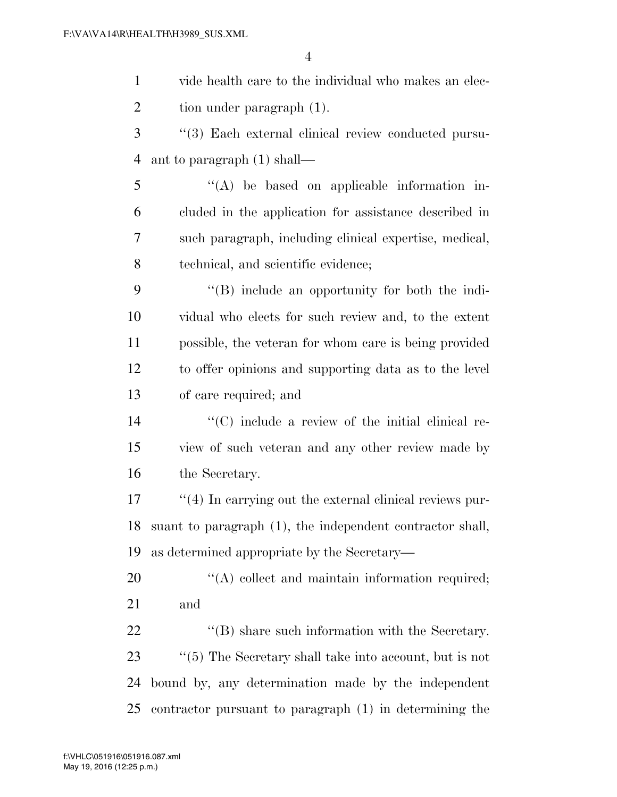| $\mathbf{1}$   | vide health care to the individual who makes an elec-         |
|----------------|---------------------------------------------------------------|
| $\overline{2}$ | tion under paragraph (1).                                     |
| 3              | "(3) Each external clinical review conducted pursu-           |
| $\overline{4}$ | ant to paragraph (1) shall—                                   |
| 5              | $\lq\lq$ be based on applicable information in-               |
| 6              | cluded in the application for assistance described in         |
| 7              | such paragraph, including clinical expertise, medical,        |
| 8              | technical, and scientific evidence;                           |
| 9              | "(B) include an opportunity for both the indi-                |
| 10             | vidual who elects for such review and, to the extent          |
| 11             | possible, the veteran for whom care is being provided         |
| 12             | to offer opinions and supporting data as to the level         |
| 13             | of care required; and                                         |
| 14             | "(C) include a review of the initial clinical re-             |
| 15             | view of such veteran and any other review made by             |
| 16             | the Secretary.                                                |
| 17             | $\lq(4)$ In carrying out the external clinical reviews pur-   |
| 18             | suant to paragraph (1), the independent contractor shall,     |
| 19             | as determined appropriate by the Secretary—                   |
| 20             | $\lq\lq$ collect and maintain information required;           |
| 21             | and                                                           |
| 22             | "(B) share such information with the Secretary.               |
| 23             | $\lq\lq(5)$ The Secretary shall take into account, but is not |
| 24             | bound by, any determination made by the independent           |
| 25             | contractor pursuant to paragraph (1) in determining the       |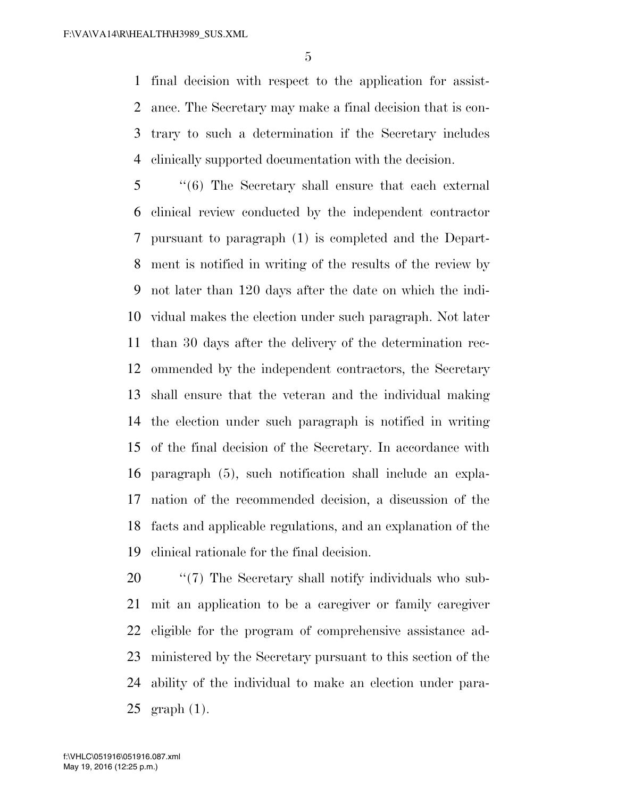final decision with respect to the application for assist- ance. The Secretary may make a final decision that is con- trary to such a determination if the Secretary includes clinically supported documentation with the decision.

 ''(6) The Secretary shall ensure that each external clinical review conducted by the independent contractor pursuant to paragraph (1) is completed and the Depart- ment is notified in writing of the results of the review by not later than 120 days after the date on which the indi- vidual makes the election under such paragraph. Not later than 30 days after the delivery of the determination rec- ommended by the independent contractors, the Secretary shall ensure that the veteran and the individual making the election under such paragraph is notified in writing of the final decision of the Secretary. In accordance with paragraph (5), such notification shall include an expla- nation of the recommended decision, a discussion of the facts and applicable regulations, and an explanation of the clinical rationale for the final decision.

 $\frac{1}{20}$  (7) The Secretary shall notify individuals who sub- mit an application to be a caregiver or family caregiver eligible for the program of comprehensive assistance ad- ministered by the Secretary pursuant to this section of the ability of the individual to make an election under para-graph (1).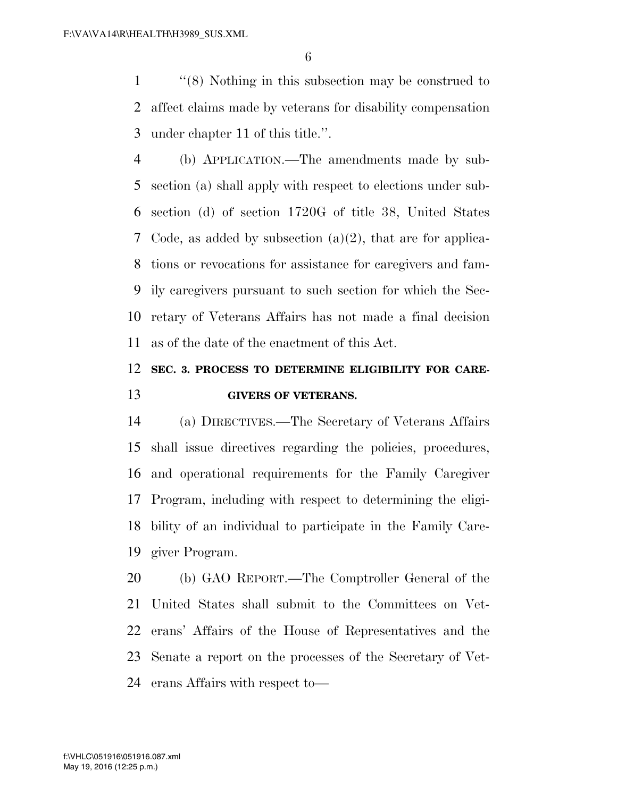''(8) Nothing in this subsection may be construed to affect claims made by veterans for disability compensation under chapter 11 of this title.''.

 (b) APPLICATION.—The amendments made by sub- section (a) shall apply with respect to elections under sub- section (d) of section 1720G of title 38, United States Code, as added by subsection (a)(2), that are for applica- tions or revocations for assistance for caregivers and fam- ily caregivers pursuant to such section for which the Sec- retary of Veterans Affairs has not made a final decision as of the date of the enactment of this Act.

## **SEC. 3. PROCESS TO DETERMINE ELIGIBILITY FOR CARE-GIVERS OF VETERANS.**

 (a) DIRECTIVES.—The Secretary of Veterans Affairs shall issue directives regarding the policies, procedures, and operational requirements for the Family Caregiver Program, including with respect to determining the eligi- bility of an individual to participate in the Family Care-giver Program.

 (b) GAO REPORT.—The Comptroller General of the United States shall submit to the Committees on Vet- erans' Affairs of the House of Representatives and the Senate a report on the processes of the Secretary of Vet-erans Affairs with respect to—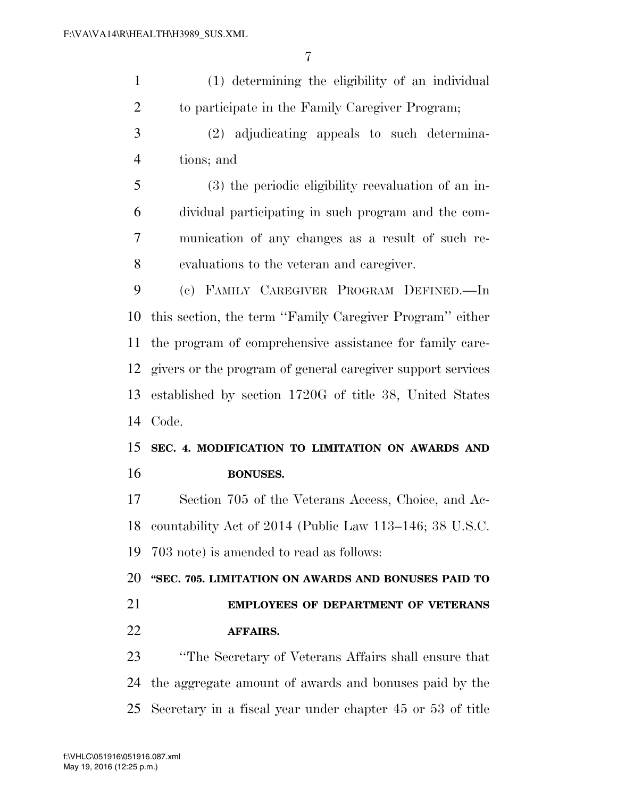| $\mathbf{1}$   | (1) determining the eligibility of an individual            |
|----------------|-------------------------------------------------------------|
| $\overline{2}$ | to participate in the Family Caregiver Program;             |
| 3              | (2) adjudicating appeals to such determina-                 |
| $\overline{4}$ | tions; and                                                  |
| 5              | (3) the periodic eligibility reevaluation of an in-         |
| 6              | dividual participating in such program and the com-         |
| 7              | munication of any changes as a result of such re-           |
| 8              | evaluations to the veteran and caregiver.                   |
| 9              | (c) FAMILY CAREGIVER PROGRAM DEFINED.—In                    |
| 10             | this section, the term "Family Caregiver Program" either    |
| 11             | the program of comprehensive assistance for family care-    |
| 12             | givers or the program of general caregiver support services |
| 13             | established by section 1720G of title 38, United States     |
| 14             | Code.                                                       |
| 15             | SEC. 4. MODIFICATION TO LIMITATION ON AWARDS AND            |
| 16             | <b>BONUSES.</b>                                             |
| 17             | Section 705 of the Veterans Access, Choice, and Ac-         |
| 18             | countability Act of 2014 (Public Law 113–146; 38 U.S.C.     |
| 19             | 703 note) is amended to read as follows:                    |
| 20             | "SEC. 705. LIMITATION ON AWARDS AND BONUSES PAID TO         |
| 21             | <b>EMPLOYEES OF DEPARTMENT OF VETERANS</b>                  |
| 22             | <b>AFFAIRS.</b>                                             |
| 23             | "The Secretary of Veterans Affairs shall ensure that        |
| 24             | the aggregate amount of awards and bonuses paid by the      |
| 25             | Secretary in a fiscal year under chapter 45 or 53 of title  |